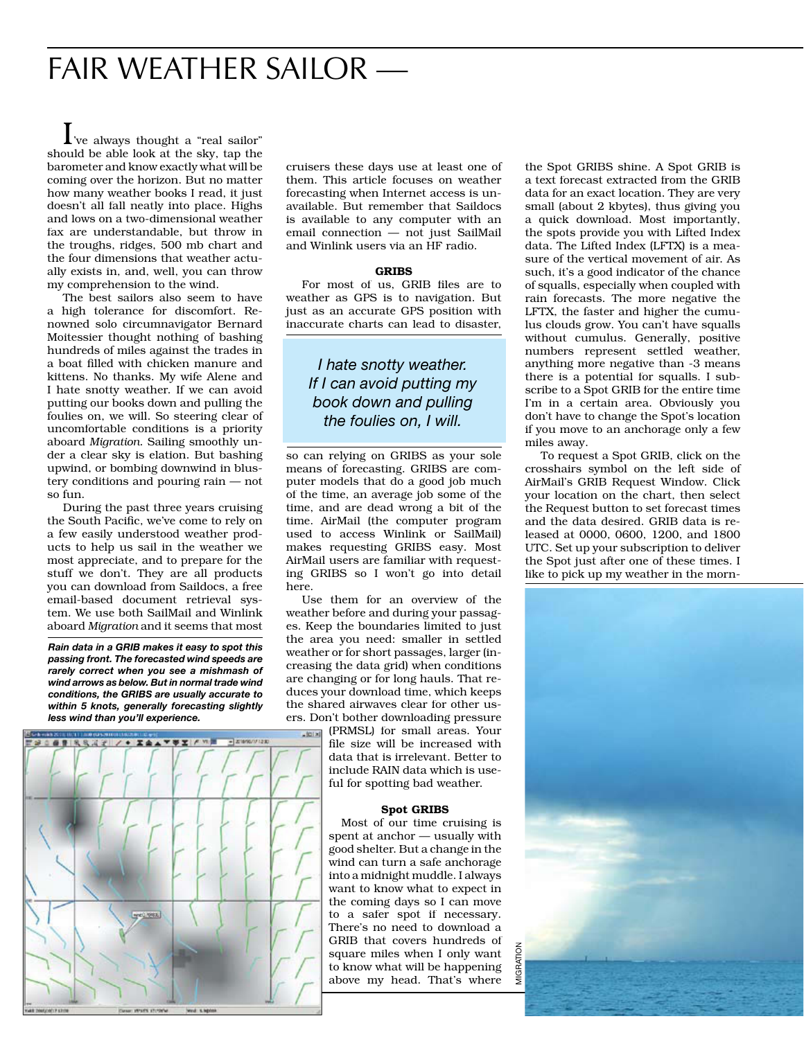## FAIR WEATHER SAILOR —

I've always thought a "real sailor" should be able look at the sky, tap the barometer and know exactly what will be coming over the horizon. But no matter how many weather books I read, it just doesn't all fall neatly into place. Highs and lows on a two-dimensional weather fax are understandable, but throw in the troughs, ridges, 500 mb chart and the four dimensions that weather actually exists in, and, well, you can throw my comprehension to the wind.

 The best sailors also seem to have a high tolerance for discomfort. Renowned solo circumnavigator Bernard Moitessier thought nothing of bashing hundreds of miles against the trades in a boat filled with chicken manure and kittens. No thanks. My wife Alene and I hate snotty weather. If we can avoid putting our books down and pulling the foulies on, we will. So steering clear of uncomfortable conditions is a priority aboard *Migration*. Sailing smoothly under a clear sky is elation. But bashing upwind, or bombing downwind in blustery conditions and pouring rain — not so fun.

 During the past three years cruising the South Pacific, we've come to rely on a few easily understood weather products to help us sail in the weather we most appreciate, and to prepare for the stuff we don't. They are all products you can download from Saildocs, a free email-based document retrieval system. We use both SailMail and Winlink aboard *Migration* and it seems that most

*Rain data in a GRIB makes it easy to spot this passing front. The forecasted wind speeds are rarely correct when you see a mishmash of wind arrows as below. But in normal trade wind conditions, the GRIBS are usually accurate to within 5 knots, generally forecasting slightly less wind than you'll experience.*



cruisers these days use at least one of them. This article focuses on weather forecasting when Internet access is unavailable. But remember that Saildocs is available to any computer with an email connection — not just SailMail and Winlink users via an HF radio.

#### **GRIBS**

For most of us, GRIB files are to weather as GPS is to navigation. But just as an accurate GPS position with inaccurate charts can lead to disaster,

## *I hate snotty weather. If I can avoid putting my book down and pulling the foulies on, I will.*

so can relying on GRIBS as your sole means of forecasting. GRIBS are computer models that do a good job much of the time, an average job some of the time, and are dead wrong a bit of the time. AirMail (the computer program used to access Winlink or SailMail) makes requesting GRIBS easy. Most AirMail users are familiar with requesting GRIBS so I won't go into detail here.

 Use them for an overview of the weather before and during your passages. Keep the boundaries limited to just the area you need: smaller in settled weather or for short passages, larger (increasing the data grid) when conditions are changing or for long hauls. That reduces your download time, which keeps the shared airwaves clear for other users. Don't bother downloading pressure

(PRMSL) for small areas. Your file size will be increased with data that is irrelevant. Better to include RAIN data which is useful for spotting bad weather.

#### Spot GRIBS

 Most of our time cruising is spent at anchor — usually with good shelter. But a change in the wind can turn a safe anchorage into a midnight muddle. I always want to know what to expect in the coming days so I can move to a safer spot if necessary. There's no need to download a GRIB that covers hundreds of square miles when I only want to know what will be happening above my head. That's where

the Spot GRIBS shine. A Spot GRIB is a text forecast extracted from the GRIB data for an exact location. They are very small (about 2 kbytes), thus giving you a quick download. Most importantly, the spots provide you with Lifted Index data. The Lifted Index (LFTX) is a measure of the vertical movement of air. As such, it's a good indicator of the chance of squalls, especially when coupled with rain forecasts. The more negative the LFTX, the faster and higher the cumulus clouds grow. You can't have squalls without cumulus. Generally, positive numbers represent settled weather, anything more negative than -3 means there is a potential for squalls. I subscribe to a Spot GRIB for the entire time I'm in a certain area. Obviously you don't have to change the Spot's location if you move to an anchorage only a few miles away.

 To request a Spot GRIB, click on the crosshairs symbol on the left side of AirMail's GRIB Request Window. Click your location on the chart, then select the Request button to set forecast times and the data desired. GRIB data is released at 0000, 0600, 1200, and 1800 UTC. Set up your subscription to deliver the Spot just after one of these times. I like to pick up my weather in the morn-

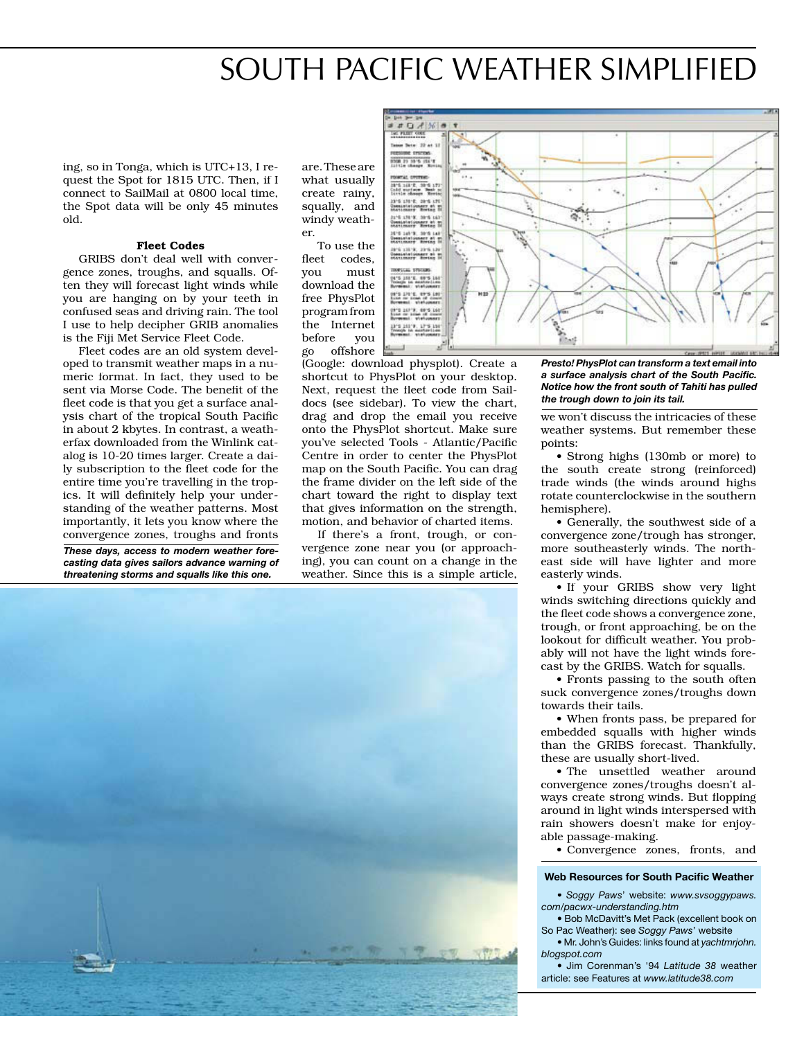## SOUTH PACIFIC WEATHER SIMPLIFIED

ing, so in Tonga, which is UTC+13, I request the Spot for 1815 UTC. Then, if I connect to SailMail at 0800 local time, the Spot data will be only 45 minutes old.

#### Fleet Codes

 GRIBS don't deal well with convergence zones, troughs, and squalls. Often they will forecast light winds while you are hanging on by your teeth in confused seas and driving rain. The tool I use to help decipher GRIB anomalies is the Fiji Met Service Fleet Code.

 Fleet codes are an old system developed to transmit weather maps in a numeric format. In fact, they used to be sent via Morse Code. The benefit of the fleet code is that you get a surface analysis chart of the tropical South Pacific in about 2 kbytes. In contrast, a weatherfax downloaded from the Winlink catalog is 10-20 times larger. Create a daily subscription to the fleet code for the entire time you're travelling in the tropics. It will definitely help your understanding of the weather patterns. Most importantly, it lets you know where the convergence zones, troughs and fronts

*These days, access to modern weather forecasting data gives sailors advance warning of threatening storms and squalls like this one.*

are. These are what usually create rainy, squally, and windy weather.

 To use the fleet codes, you must download the free PhysPlot program from the Internet before you go offshore

(Google: download physplot). Create a shortcut to PhysPlot on your desktop. Next, request the fleet code from Saildocs (see sidebar). To view the chart, drag and drop the email you receive onto the PhysPlot shortcut. Make sure you've selected Tools - Atlantic/Pacific Centre in order to center the PhysPlot map on the South Pacific. You can drag the frame divider on the left side of the chart toward the right to display text that gives information on the strength, motion, and behavior of charted items.

 If there's a front, trough, or convergence zone near you (or approaching), you can count on a change in the weather. Since this is a simple article,





*Presto! PhysPlot can transform a text email into*  a surface analysis chart of the South Pacific. *Notice how the front south of Tahiti has pulled the trough down to join its tail.*

we won't discuss the intricacies of these weather systems. But remember these points:

 • Strong highs (130mb or more) to the south create strong (reinforced) trade winds (the winds around highs rotate counterclockwise in the southern hemisphere).

 • Generally, the southwest side of a convergence zone/trough has stronger, more southeasterly winds. The northeast side will have lighter and more easterly winds.

 • If your GRIBS show very light winds switching directions quickly and the fleet code shows a convergence zone, trough, or front approaching, be on the lookout for difficult weather. You probably will not have the light winds forecast by the GRIBS. Watch for squalls.

 • Fronts passing to the south often suck convergence zones/troughs down towards their tails.

 • When fronts pass, be prepared for embedded squalls with higher winds than the GRIBS forecast. Thankfully, these are usually short-lived.

 • The unsettled weather around convergence zones/troughs doesn't always create strong winds. But flopping around in light winds interspersed with rain showers doesn't make for enjoyable passage-making.

• Convergence zones, fronts, and

#### **Web Resources for South Pacific Weather**

• *Soggy Paws*' website: *www.svsoggypaws. com/pacwx-understanding.htm* 

 • Bob McDavitt's Met Pack (excellent book on So Pac Weather): see *Soggy Paws*' website

 • Mr. John's Guides: links found at *yachtmrjohn. blogspot.com*

 • Jim Corenman's '94 *Latitude 38* weather article: see Features at *www.latitude38.com*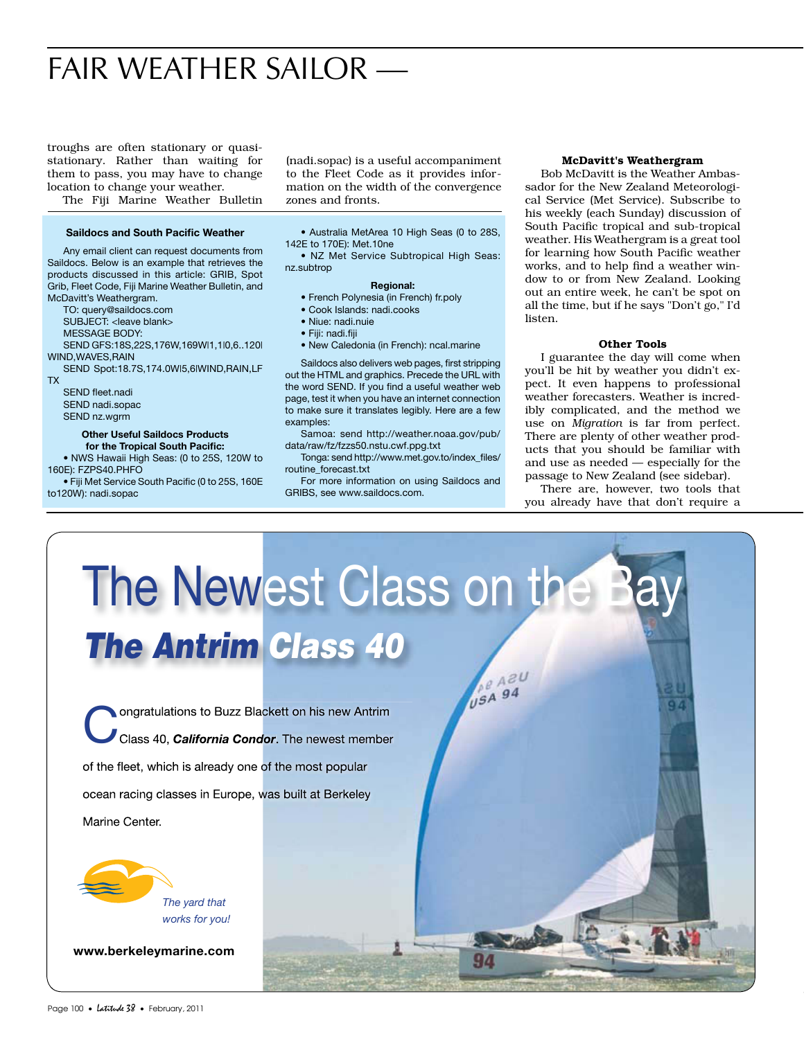## FAIR WEATHER SAILOR —

troughs are often stationary or quasistationary. Rather than waiting for them to pass, you may have to change location to change your weather.

The Fiji Marine Weather Bulletin

#### **Saildocs and South Pacific Weather**

 Any email client can request documents from Saildocs. Below is an example that retrieves the products discussed in this article: GRIB, Spot Grib, Fleet Code, Fiji Marine Weather Bulletin, and McDavitt's Weathergram.

TO: query@saildocs.com

SUBJECT: < leave blank>

MESSAGE BODY:

SEND GFS:18S,22S,176W,169W|1,1|0,6..120|

WIND,WAVES,RAIN SEND Spot:18.7S,174.0W|5,6|WIND,RAIN,LF

TX

SEND fleet.nadi SEND nadi.sopac SEND nz.wgrm

### **Other Useful Saildocs Products**

for the Tropical South Pacific: • NWS Hawaii High Seas: (0 to 25S, 120W to 160E): FZPS40.PHFO

• Fiji Met Service South Pacific (0 to 25S, 160E to120W): nadi.sopac

(nadi.sopac) is a useful accompaniment to the Fleet Code as it provides information on the width of the convergence zones and fronts.

 • Australia MetArea 10 High Seas (0 to 28S, 142E to 170E): Met.10ne

 • NZ Met Service Subtropical High Seas: nz.subtrop

#### **Regional:**

- French Polynesia (in French) fr.poly
- Cook Islands: nadi.cooks
- Niue: nadi.nuie
- Fiji: nadi.fiji
- New Caledonia (in French): ncal.marine

Saildocs also delivers web pages, first stripping out the HTML and graphics. Precede the URL with the word SEND. If you find a useful weather web page, test it when you have an internet connection to make sure it translates legibly. Here are a few examples:

 Samoa: send http://weather.noaa.gov/pub/ data/raw/fz/fzzs50.nstu.cwf.ppg.txt

Tonga: send http://www.met.gov.to/index\_files/ routine\_forecast.txt

 For more information on using Saildocs and GRIBS, see www.saildocs.com.

#### McDavitt's Weathergram

 Bob McDavitt is the Weather Ambassador for the New Zealand Meteorological Service (Met Service). Subscribe to his weekly (each Sunday) discussion of South Pacific tropical and sub-tropical weather. His Weathergram is a great tool for learning how South Pacific weather works, and to help find a weather window to or from New Zealand. Looking out an entire week, he can't be spot on all the time, but if he says "Don't go," I'd listen.

#### Other Tools

 I guarantee the day will come when you'll be hit by weather you didn't expect. It even happens to professional weather forecasters. Weather is incredibly complicated, and the method we use on *Migration* is far from perfect. There are plenty of other weather products that you should be familiar with and use as needed — especially for the passage to New Zealand (see sidebar).

 There are, however, two tools that you already have that don't require a

# The Newest Class on the B *The Antrim Class 40* **DE AZU** USA 94

94

**Conduct Conducts Conducts** Class 40, *California Condor*. The newest member of the fleet, which is already one of the most popular ocean racing classes in Europe, was built at Berkeley Marine Center.



*The yard that works for you!*

**www.berkeleymarine.com**